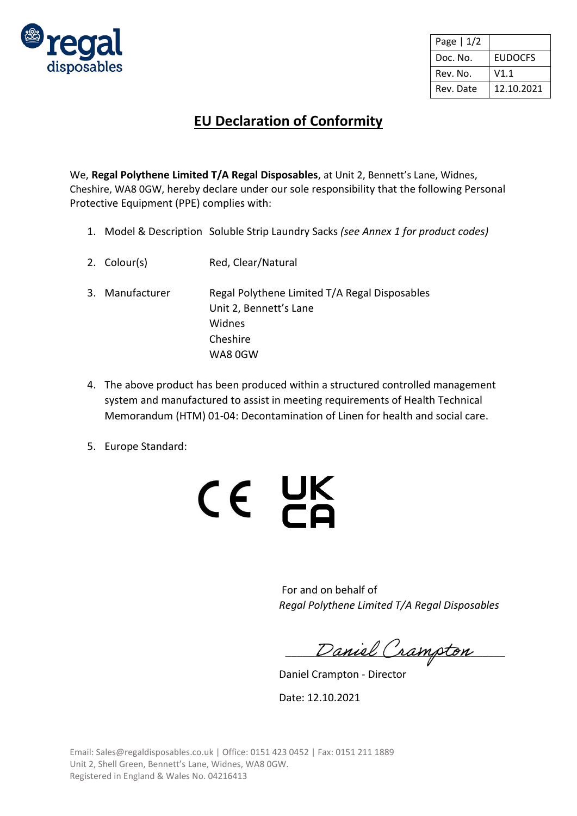

| Page $ 1/2$ |                |
|-------------|----------------|
| Doc. No.    | <b>EUDOCFS</b> |
| Rev. No.    | V1.1           |
| Rev. Date   | 12.10.2021     |

## **EU Declaration of Conformity**

We, **Regal Polythene Limited T/A Regal Disposables**, at Unit 2, Bennett's Lane, Widnes, Cheshire, WA8 0GW, hereby declare under our sole responsibility that the following Personal Protective Equipment (PPE) complies with:

- 1. Model & Description Soluble Strip Laundry Sacks *(see Annex 1 for product codes)*
- 2. Colour(s) Red, Clear/Natural
- 3. Manufacturer Regal Polythene Limited T/A Regal Disposables Unit 2, Bennett's Lane Widnes Cheshire WA8 0GW
- 4. The above product has been produced within a structured controlled management system and manufactured to assist in meeting requirements of Health Technical Memorandum (HTM) 01-04: Decontamination of Linen for health and social care.
- 5. Europe Standard:



For and on behalf of *Regal Polythene Limited T/A Regal Disposables*

Daniel Crampton

Daniel Crampton - Director

Date: 12.10.2021